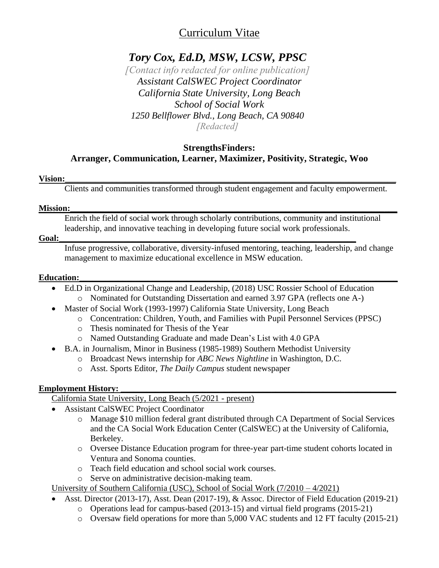# Curriculum Vitae

# *Tory Cox, Ed.D, MSW, LCSW, PPSC*

*[Contact info redacted for online publication] Assistant CalSWEC Project Coordinator California State University, Long Beach School of Social Work 1250 Bellflower Blvd., Long Beach, CA 90840 [Redacted]*

# **StrengthsFinders: Arranger, Communication, Learner, Maximizer, Positivity, Strategic, Woo**

# **Vision:\_\_\_\_\_\_\_\_\_\_\_\_\_\_\_\_\_\_\_\_\_\_\_\_\_\_\_\_\_\_\_\_\_\_\_\_\_\_\_\_\_\_\_\_\_\_\_\_\_\_\_\_\_\_\_\_\_\_\_\_\_\_\_\_\_\_\_\_\_\_\_\_\_\_\_\_\_**

Clients and communities transformed through student engagement and faculty empowerment.

### **Mission:\_\_\_\_\_\_\_\_\_\_\_\_\_\_\_\_\_\_\_\_\_\_\_\_\_\_\_\_\_\_\_\_\_\_\_\_\_\_\_\_\_\_\_\_\_\_\_\_\_\_\_\_\_\_\_\_\_\_\_\_\_\_\_\_\_\_\_\_\_\_\_\_\_\_\_\_**

Enrich the field of social work through scholarly contributions, community and institutional leadership, and innovative teaching in developing future social work professionals.

### **Goal:\_\_\_\_\_\_\_\_\_\_\_\_\_\_\_\_\_\_\_\_\_\_\_\_\_\_\_\_\_\_\_\_\_\_\_\_\_\_\_\_\_\_\_\_\_\_\_\_\_\_\_\_\_\_\_\_\_\_\_\_\_\_\_\_\_\_\_\_\_**

Infuse progressive, collaborative, diversity-infused mentoring, teaching, leadership, and change management to maximize educational excellence in MSW education.

### **Education:**

- Ed.D in Organizational Change and Leadership, (2018) USC Rossier School of Education o Nominated for Outstanding Dissertation and earned 3.97 GPA (reflects one A-)
- Master of Social Work (1993-1997) California State University, Long Beach
	- o Concentration: Children, Youth, and Families with Pupil Personnel Services (PPSC)
	- o Thesis nominated for Thesis of the Year
	- o Named Outstanding Graduate and made Dean's List with 4.0 GPA
- B.A. in Journalism, Minor in Business (1985-1989) Southern Methodist University
	- o Broadcast News internship for *ABC News Nightline* in Washington, D.C.
	- o Asst. Sports Editor, *The Daily Campus* student newspaper

# **Employment History:**

California State University, Long Beach (5/2021 - present)

- Assistant CalSWEC Project Coordinator
	- o Manage \$10 million federal grant distributed through CA Department of Social Services and the CA Social Work Education Center (CalSWEC) at the University of California, Berkeley.
	- o Oversee Distance Education program for three-year part-time student cohorts located in Ventura and Sonoma counties.
	- o Teach field education and school social work courses.
	- o Serve on administrative decision-making team.

University of Southern California (USC), School of Social Work (7/2010 – 4/2021)

- Asst. Director (2013-17), Asst. Dean (2017-19), & Assoc. Director of Field Education (2019-21)
	- o Operations lead for campus-based (2013-15) and virtual field programs (2015-21)
	- o Oversaw field operations for more than 5,000 VAC students and 12 FT faculty (2015-21)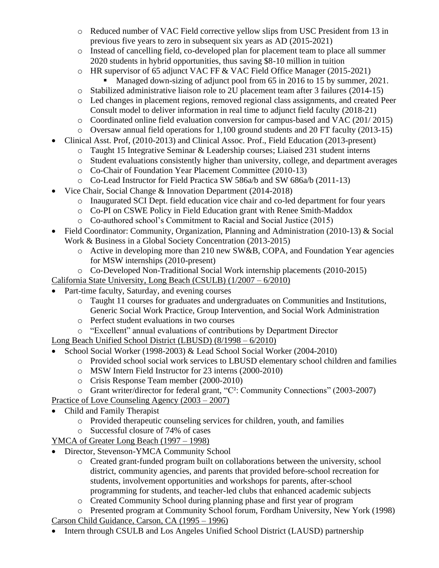- o Reduced number of VAC Field corrective yellow slips from USC President from 13 in previous five years to zero in subsequent six years as AD (2015-2021)
- o Instead of cancelling field, co-developed plan for placement team to place all summer 2020 students in hybrid opportunities, thus saving \$8-10 million in tuition
- o HR supervisor of 65 adjunct VAC FF & VAC Field Office Manager (2015-2021)
	- Managed down-sizing of adjunct pool from 65 in 2016 to 15 by summer, 2021.
- o Stabilized administrative liaison role to 2U placement team after 3 failures (2014-15)
- o Led changes in placement regions, removed regional class assignments, and created Peer Consult model to deliver information in real time to adjunct field faculty (2018-21)
- o Coordinated online field evaluation conversion for campus-based and VAC (201/ 2015)
- o Oversaw annual field operations for 1,100 ground students and 20 FT faculty (2013-15)
- Clinical Asst. Prof, (2010-2013) and Clinical Assoc. Prof., Field Education (2013-present)
	- o Taught 15 Integrative Seminar & Leadership courses; Liaised 231 student interns
	- o Student evaluations consistently higher than university, college, and department averages
	- o Co-Chair of Foundation Year Placement Committee (2010-13)
	- o Co-Lead Instructor for Field Practica SW 586a/b and SW 686a/b (2011-13)
- Vice Chair, Social Change & Innovation Department (2014-2018)
	- o Inaugurated SCI Dept. field education vice chair and co-led department for four years
	- o Co-PI on CSWE Policy in Field Education grant with Renee Smith-Maddox
	- o Co-authored school's Commitment to Racial and Social Justice (2015)
- Field Coordinator: Community, Organization, Planning and Administration (2010-13) & Social Work & Business in a Global Society Concentration (2013-2015)
	- o Active in developing more than 210 new SW&B, COPA, and Foundation Year agencies for MSW internships (2010-present)
	- o Co-Developed Non-Traditional Social Work internship placements (2010-2015)

California State University, Long Beach (CSULB) (1/2007 – 6/2010)

- Part-time faculty, Saturday, and evening courses
	- o Taught 11 courses for graduates and undergraduates on Communities and Institutions, Generic Social Work Practice, Group Intervention, and Social Work Administration
	- o Perfect student evaluations in two courses
	- o "Excellent" annual evaluations of contributions by Department Director

Long Beach Unified School District (LBUSD) (8/1998 – 6/2010)

- School Social Worker (1998-2003) & Lead School Social Worker (2004-2010)
	- o Provided school social work services to LBUSD elementary school children and families
	- o MSW Intern Field Instructor for 23 interns (2000-2010)
	- o Crisis Response Team member (2000-2010)
	- o Grant writer/director for federal grant, "C²: Community Connections" (2003-2007)
- Practice of Love Counseling Agency (2003 2007)
- Child and Family Therapist
	- o Provided therapeutic counseling services for children, youth, and families
	- o Successful closure of 74% of cases

YMCA of Greater Long Beach (1997 – 1998)

- Director, Stevenson-YMCA Community School
	- o Created grant-funded program built on collaborations between the university, school district, community agencies, and parents that provided before-school recreation for students, involvement opportunities and workshops for parents, after-school programming for students, and teacher-led clubs that enhanced academic subjects
	- o Created Community School during planning phase and first year of program

o Presented program at Community School forum, Fordham University, New York (1998) Carson Child Guidance, Carson, CA (1995 – 1996)

• Intern through CSULB and Los Angeles Unified School District (LAUSD) partnership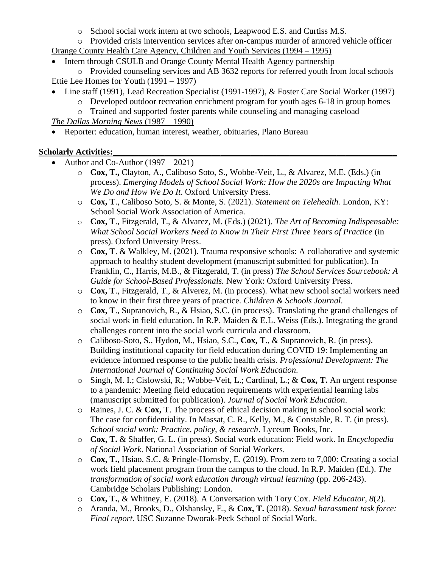- o School social work intern at two schools, Leapwood E.S. and Curtiss M.S.
- o Provided crisis intervention services after on-campus murder of armored vehicle officer Orange County Health Care Agency, Children and Youth Services (1994 – 1995)
- Intern through CSULB and Orange County Mental Health Agency partnership
- o Provided counseling services and AB 3632 reports for referred youth from local schools Ettie Lee Homes for Youth (1991 – 1997)
- Line staff (1991), Lead Recreation Specialist (1991-1997), & Foster Care Social Worker (1997)
	- $\circ$  Developed outdoor recreation enrichment program for youth ages 6-18 in group homes o Trained and supported foster parents while counseling and managing caseload

*The Dallas Morning News* (1987 – 1990)

• Reporter: education, human interest, weather, obituaries, Plano Bureau

# **Scholarly Activities:**

- Author and Co-Author  $(1997 2021)$ 
	- o **Cox, T.,** Clayton, A., Caliboso Soto, S., Wobbe-Veit, L., & Alvarez, M.E. (Eds.) (in process). *Emerging Models of School Social Work: How the 2020s are Impacting What We Do and How We Do It*. Oxford University Press.
	- o **Cox, T**., Caliboso Soto, S. & Monte, S. (2021). *Statement on Telehealth.* London, KY: School Social Work Association of America.
	- o **Cox, T**., Fitzgerald, T., & Alvarez, M. (Eds.) (2021). *The Art of Becoming Indispensable: What School Social Workers Need to Know in Their First Three Years of Practice* (in press). Oxford University Press.
	- o **Cox, T**. & Walkley, M. (2021). Trauma responsive schools: A collaborative and systemic approach to healthy student development (manuscript submitted for publication). In Franklin, C., Harris, M.B., & Fitzgerald, T. (in press) *The School Services Sourcebook: A Guide for School-Based Professionals.* New York: Oxford University Press.
	- o **Cox, T**., Fitzgerald, T., & Alverez, M. (in process). What new school social workers need to know in their first three years of practice. *Children & Schools Journal*.
	- o **Cox, T**., Supranovich, R., & Hsiao, S.C. (in process). Translating the grand challenges of social work in field education. In R.P. Maiden & E.L. Weiss (Eds.). Integrating the grand challenges content into the social work curricula and classroom.
	- o Caliboso-Soto, S., Hydon, M., Hsiao, S.C., **Cox, T**., & Supranovich, R. (in press). Building institutional capacity for field education during COVID 19: Implementing an evidence informed response to the public health crisis. *Professional Development: The International Journal of Continuing Social Work Education.*
	- o Singh, M. I.; Cislowski, R.; Wobbe-Veit, L.; Cardinal, L.; & **Cox, T.** An urgent response to a pandemic: Meeting field education requirements with experiential learning labs (manuscript submitted for publication). *Journal of Social Work Education*.
	- o Raines, J. C. & **Cox, T**. The process of ethical decision making in school social work: The case for confidentiality. In Massat, C. R., Kelly, M., & Constable, R. T. (in press). *School social work: Practice, policy, & research*. Lyceum Books, Inc.
	- o **Cox, T.** & Shaffer, G. L. (in press). Social work education: Field work. In *Encyclopedia of Social Work*. National Association of Social Workers.
	- o **Cox, T.**, Hsiao, S.C, & Pringle-Hornsby, E. (2019). From zero to 7,000: Creating a social work field placement program from the campus to the cloud. In R.P. Maiden (Ed.). *The transformation of social work education through virtual learning* (pp. 206-243). Cambridge Scholars Publishing: London.
	- o **Cox, T.**, & Whitney, E. (2018). A Conversation with Tory Cox. *Field Educator*, *8*(2).
	- o Aranda, M., Brooks, D., Olshansky, E., & **Cox, T.** (2018). *Sexual harassment task force: Final report.* USC Suzanne Dworak-Peck School of Social Work.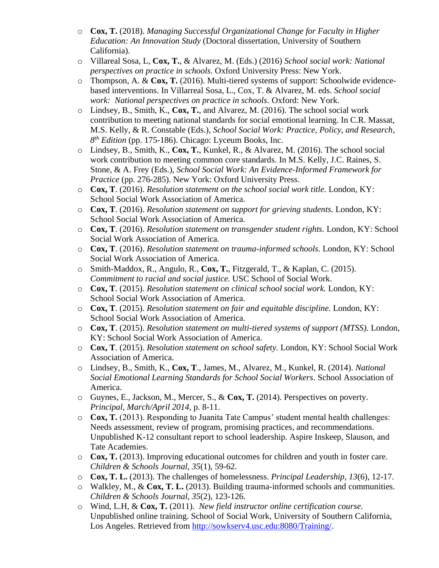- o **Cox, T.** (2018). *Managing Successful Organizational Change for Faculty in Higher Education: An Innovation Study* (Doctoral dissertation, University of Southern California).
- o Villareal Sosa, L, **Cox, T.**, & Alvarez, M. (Eds.) (2016) *School social work: National perspectives on practice in schools.* Oxford University Press: New York.
- o Thompson, A. & **Cox, T.** (2016). Multi-tiered systems of support: Schoolwide evidencebased interventions. In Villarreal Sosa, L., Cox, T. & Alvarez, M. eds. *School social work: National perspectives on practice in schools.* Oxford: New York.
- o Lindsey, B., Smith, K., **Cox, T.**, and Alvarez, M. (2016). The school social work contribution to meeting national standards for social emotional learning. In C.R. Massat, M.S. Kelly, & R. Constable (Eds.), *School Social Work: Practice, Policy, and Research, 8 th Edition* (pp. 175-186). Chicago: Lyceum Books, Inc.
- o Lindsey, B., Smith, K., **Cox, T.**, Kunkel, R., & Alvarez, M. (2016). The school social work contribution to meeting common core standards. In M.S. Kelly, J.C. Raines, S. Stone, & A. Frey (Eds.), *School Social Work: An Evidence-Informed Framework for Practice* (pp. 276-285). New York: Oxford University Press.
- o **Cox, T**. (2016). *Resolution statement on the school social work title.* London, KY: School Social Work Association of America.
- o **Cox, T**. (2016). *Resolution statement on support for grieving students.* London, KY: School Social Work Association of America.
- o **Cox, T**. (2016). *Resolution statement on transgender student rights.* London, KY: School Social Work Association of America.
- o **Cox, T**. (2016). *Resolution statement on trauma-informed schools.* London, KY: School Social Work Association of America.
- o Smith-Maddox, R., Angulo, R., **Cox, T.**, Fitzgerald, T., & Kaplan, C. (2015). *Commitment to racial and social justice.* USC School of Social Work.
- o **Cox, T**. (2015). *Resolution statement on clinical school social work.* London, KY: School Social Work Association of America.
- o **Cox, T**. (2015). *Resolution statement on fair and equitable discipline.* London, KY: School Social Work Association of America.
- o **Cox, T**. (2015). *Resolution statement on multi-tiered systems of support (MTSS).* London, KY: School Social Work Association of America.
- o **Cox, T**. (2015). *Resolution statement on school safety.* London, KY: School Social Work Association of America.
- o Lindsey, B., Smith, K., **Cox, T**., James, M., Alvarez, M., Kunkel, R. (2014). *National Social Emotional Learning Standards for School Social Workers*. School Association of America.
- o Guynes, E., Jackson, M., Mercer, S., & **Cox, T.** (2014). Perspectives on poverty. *Principal*, *March/April 2014*, p. 8-11.
- o **Cox, T.** (2013). Responding to Juanita Tate Campus' student mental health challenges: Needs assessment, review of program, promising practices, and recommendations. Unpublished K-12 consultant report to school leadership. Aspire Inskeep, Slauson, and Tate Academies.
- o **Cox, T.** (2013). Improving educational outcomes for children and youth in foster care. *Children & Schools Journal*, *35*(1), 59-62.
- o **Cox, T. L.** (2013). The challenges of homelessness. *Principal Leadership*, *13*(6), 12-17.
- o Walkley, M., & **Cox, T. L.** (2013). Building trauma-informed schools and communities. *Children & Schools Journal*, *35*(2), 123-126.
- o Wind, L.H, & **Cox, T.** (2011). *New field instructor online certification course*. Unpublished online training. School of Social Work, University of Southern California, Los Angeles. Retrieved from [http://sowkserv4.usc.edu:8080/Training/.](http://sowkserv4.usc.edu:8080/Training/)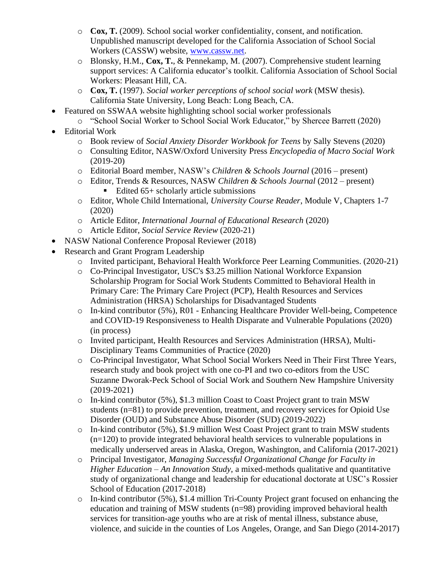- o **Cox, T.** (2009). School social worker confidentiality, consent, and notification. Unpublished manuscript developed for the California Association of School Social Workers (CASSW) website, [www.cassw.net.](http://www.cassw.net/)
- o Blonsky, H.M., **Cox, T.**, & Pennekamp, M. (2007). Comprehensive student learning support services: A California educator's toolkit. California Association of School Social Workers: Pleasant Hill, CA.
- o **Cox, T.** (1997). *Social worker perceptions of school social work* (MSW thesis). California State University, Long Beach: Long Beach, CA.
- Featured on SSWAA website highlighting school social worker professionals
	- o "School Social Worker to School Social Work Educator," by Shercee Barrett (2020)
- Editorial Work
	- o Book review of *Social Anxiety Disorder Workbook for Teens* by Sally Stevens (2020)
	- o Consulting Editor, NASW/Oxford University Press *Encyclopedia of Macro Social Work* (2019-20)
	- o Editorial Board member, NASW's *Children & Schools Journal* (2016 present)
	- o Editor, Trends & Resources, NASW *Children & Schools Journal* (2012 present) ■ Edited  $65+$  scholarly article submissions
	- o Editor, Whole Child International, *University Course Reader*, Module V, Chapters 1-7 (2020)
	- o Article Editor, *International Journal of Educational Research* (2020)
	- o Article Editor, *Social Service Review* (2020-21)
- NASW National Conference Proposal Reviewer (2018)
- Research and Grant Program Leadership
	- o Invited participant, Behavioral Health Workforce Peer Learning Communities. (2020-21)
	- o Co-Principal Investigator, USC's \$3.25 million National Workforce Expansion Scholarship Program for Social Work Students Committed to Behavioral Health in Primary Care: The Primary Care Project (PCP), Health Resources and Services Administration (HRSA) Scholarships for Disadvantaged Students
	- o In-kind contributor (5%), R01 Enhancing Healthcare Provider Well-being, Competence and COVID-19 Responsiveness to Health Disparate and Vulnerable Populations (2020) (in process)
	- o Invited participant, Health Resources and Services Administration (HRSA), Multi-Disciplinary Teams Communities of Practice (2020)
	- o Co-Principal Investigator, What School Social Workers Need in Their First Three Years, research study and book project with one co-PI and two co-editors from the USC Suzanne Dworak-Peck School of Social Work and Southern New Hampshire University (2019-2021)
	- o In-kind contributor (5%), \$1.3 million Coast to Coast Project grant to train MSW students (n=81) to provide prevention, treatment, and recovery services for Opioid Use Disorder (OUD) and Substance Abuse Disorder (SUD) (2019-2022)
	- $\circ$  In-kind contributor (5%), \$1.9 million West Coast Project grant to train MSW students (n=120) to provide integrated behavioral health services to vulnerable populations in medically underserved areas in Alaska, Oregon, Washington, and California (2017-2021)
	- o Principal Investigator, *Managing Successful Organizational Change for Faculty in Higher Education – An Innovation Study*, a mixed-methods qualitative and quantitative study of organizational change and leadership for educational doctorate at USC's Rossier School of Education (2017-2018)
	- o In-kind contributor (5%), \$1.4 million Tri-County Project grant focused on enhancing the education and training of MSW students (n=98) providing improved behavioral health services for transition-age youths who are at risk of mental illness, substance abuse, violence, and suicide in the counties of Los Angeles, Orange, and San Diego (2014-2017)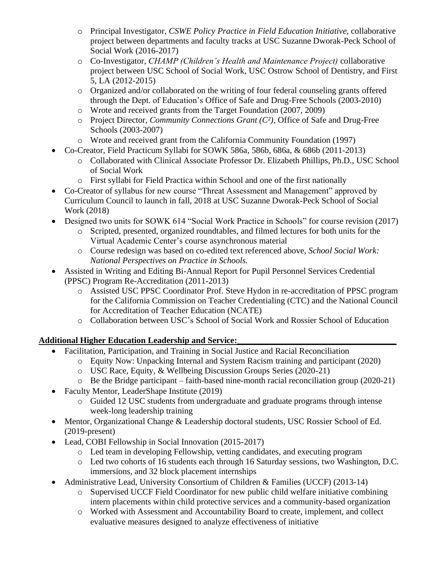- o Principal Investigator, *CSWE Policy Practice in Field Education Initiative*, collaborative project between departments and faculty tracks at USC Suzanne Dworak-Peck School of Social Work (2016-2017)
- o Co-Investigator, *CHAMP (Children's Health and Maintenance Project)* collaborative project between USC School of Social Work, USC Ostrow School of Dentistry, and First 5, LA (2012-2015)
- o Organized and/or collaborated on the writing of four federal counseling grants offered through the Dept. of Education's Office of Safe and Drug-Free Schools (2003-2010)
- o Wrote and received grants from the Target Foundation (2007, 2009)
- o Project Director, *Community Connections Grant (C²)*, Office of Safe and Drug-Free Schools (2003-2007)
- o Wrote and received grant from the California Community Foundation (1997)
- Co-Creator, Field Practicum Syllabi for SOWK 586a, 586b, 686a, & 686b (2011-2013)
	- o Collaborated with Clinical Associate Professor Dr. Elizabeth Phillips, Ph.D., USC School of Social Work
	- o First syllabi for Field Practica within School and one of the first nationally
- Co-Creator of syllabus for new course "Threat Assessment and Management" approved by Curriculum Council to launch in fall, 2018 at USC Suzanne Dworak-Peck School of Social Work (2018)
- Designed two units for SOWK 614 "Social Work Practice in Schools" for course revision (2017)
	- o Scripted, presented, organized roundtables, and filmed lectures for both units for the Virtual Academic Center's course asynchronous material
	- o Course redesign was based on co-edited text referenced above, *School Social Work: National Perspectives on Practice in Schools.*
- Assisted in Writing and Editing Bi-Annual Report for Pupil Personnel Services Credential (PPSC) Program Re-Accreditation (2011-2013)
	- o Assisted USC PPSC Coordinator Prof. Steve Hydon in re-accreditation of PPSC program for the California Commission on Teacher Credentialing (CTC) and the National Council for Accreditation of Teacher Education (NCATE)
	- o Collaboration between USC's School of Social Work and Rossier School of Education

# Additional Higher Education Leadership and Service:

- Facilitation, Participation, and Training in Social Justice and Racial Reconciliation
	- o Equity Now: Unpacking Internal and System Racism training and participant (2020)
	- o USC Race, Equity, & Wellbeing Discussion Groups Series (2020-21)
	- o Be the Bridge participant faith-based nine-month racial reconciliation group (2020-21)
- Faculty Mentor, LeaderShape Institute (2019)
	- o Guided 12 USC students from undergraduate and graduate programs through intense week-long leadership training
- Mentor, Organizational Change & Leadership doctoral students, USC Rossier School of Ed. (2019-present)
- Lead, COBI Fellowship in Social Innovation (2015-2017)
	- o Led team in developing Fellowship, vetting candidates, and executing program
	- o Led two cohorts of 16 students each through 16 Saturday sessions, two Washington, D.C. immersions, and 32 block placement internships
- Administrative Lead, University Consortium of Children & Families (UCCF) (2013-14)
	- o Supervised UCCF Field Coordinator for new public child welfare initiative combining intern placements within child protective services and a community-based organization
	- o Worked with Assessment and Accountability Board to create, implement, and collect evaluative measures designed to analyze effectiveness of initiative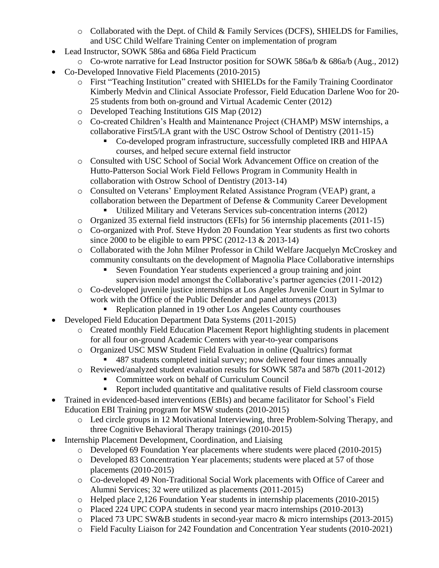- $\circ$  Collaborated with the Dept. of Child & Family Services (DCFS), SHIELDS for Families, and USC Child Welfare Training Center on implementation of program
- Lead Instructor, SOWK 586a and 686a Field Practicum
	- o Co-wrote narrative for Lead Instructor position for SOWK 586a/b & 686a/b (Aug., 2012)
- Co-Developed Innovative Field Placements (2010-2015)
	- o First "Teaching Institution" created with SHIELDs for the Family Training Coordinator Kimberly Medvin and Clinical Associate Professor, Field Education Darlene Woo for 20- 25 students from both on-ground and Virtual Academic Center (2012)
	- o Developed Teaching Institutions GIS Map (2012)
	- o Co-created Children's Health and Maintenance Project (CHAMP) MSW internships, a collaborative First5/LA grant with the USC Ostrow School of Dentistry (2011-15)
		- Co-developed program infrastructure, successfully completed IRB and HIPAA courses, and helped secure external field instructor
	- o Consulted with USC School of Social Work Advancement Office on creation of the Hutto-Patterson Social Work Field Fellows Program in Community Health in collaboration with Ostrow School of Dentistry (2013-14)
	- o Consulted on Veterans' Employment Related Assistance Program (VEAP) grant, a collaboration between the Department of Defense & Community Career Development
		- Utilized Military and Veterans Services sub-concentration interns (2012)
	- o Organized 35 external field instructors (EFIs) for 56 internship placements (2011-15)
	- o Co-organized with Prof. Steve Hydon 20 Foundation Year students as first two cohorts since 2000 to be eligible to earn PPSC (2012-13 & 2013-14)
	- o Collaborated with the John Milner Professor in Child Welfare Jacquelyn McCroskey and community consultants on the development of Magnolia Place Collaborative internships
		- Seven Foundation Year students experienced a group training and joint supervision model amongst the Collaborative's partner agencies (2011-2012)
	- o Co-developed juvenile justice internships at Los Angeles Juvenile Court in Sylmar to work with the Office of the Public Defender and panel attorneys (2013)
		- Replication planned in 19 other Los Angeles County courthouses
- Developed Field Education Department Data Systems (2011-2015)
	- o Created monthly Field Education Placement Report highlighting students in placement for all four on-ground Academic Centers with year-to-year comparisons
	- o Organized USC MSW Student Field Evaluation in online (Qualtrics) format
		- 487 students completed initial survey; now delivered four times annually
	- o Reviewed/analyzed student evaluation results for SOWK 587a and 587b (2011-2012)
		- Committee work on behalf of Curriculum Council
		- Report included quantitative and qualitative results of Field classroom course
- Trained in evidenced-based interventions (EBIs) and became facilitator for School's Field Education EBI Training program for MSW students (2010-2015)
	- o Led circle groups in 12 Motivational Interviewing, three Problem-Solving Therapy, and three Cognitive Behavioral Therapy trainings (2010-2015)
- Internship Placement Development, Coordination, and Liaising
	- o Developed 69 Foundation Year placements where students were placed (2010-2015)
	- o Developed 83 Concentration Year placements; students were placed at 57 of those placements (2010-2015)
	- o Co-developed 49 Non-Traditional Social Work placements with Office of Career and Alumni Services; 32 were utilized as placements (2011-2015)
	- o Helped place 2,126 Foundation Year students in internship placements (2010-2015)
	- o Placed 224 UPC COPA students in second year macro internships (2010-2013)
	- o Placed 73 UPC SW&B students in second-year macro & micro internships (2013-2015)
	- o Field Faculty Liaison for 242 Foundation and Concentration Year students (2010-2021)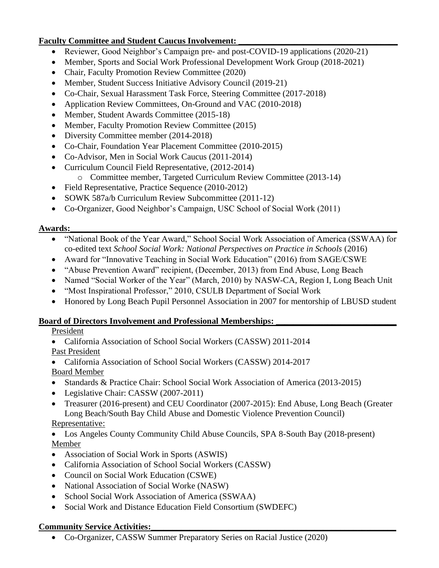# **Faculty Committee and Student Caucus Involvement:**

- Reviewer, Good Neighbor's Campaign pre- and post-COVID-19 applications (2020-21)
- Member, Sports and Social Work Professional Development Work Group (2018-2021)
- Chair, Faculty Promotion Review Committee (2020)
- Member, Student Success Initiative Advisory Council (2019-21)
- Co-Chair, Sexual Harassment Task Force, Steering Committee (2017-2018)
- Application Review Committees, On-Ground and VAC (2010-2018)
- Member, Student Awards Committee (2015-18)
- Member, Faculty Promotion Review Committee (2015)
- Diversity Committee member (2014-2018)
- Co-Chair, Foundation Year Placement Committee (2010-2015)
- Co-Advisor, Men in Social Work Caucus (2011-2014)
- Curriculum Council Field Representative, (2012-2014)
	- o Committee member, Targeted Curriculum Review Committee (2013-14)
- Field Representative, Practice Sequence (2010-2012)
- SOWK 587a/b Curriculum Review Subcommittee (2011-12)
- Co-Organizer, Good Neighbor's Campaign, USC School of Social Work (2011)

### **Awards:** <u>and a set of the set of the set of the set of the set of the set of the set of the set of the set of the set of the set of the set of the set of the set of the set of the set of the set of the set of the set of </u>

- "National Book of the Year Award," School Social Work Association of America (SSWAA) for co-edited text *School Social Work: National Perspectives on Practice in Schools* (2016)
- Award for "Innovative Teaching in Social Work Education" (2016) from SAGE/CSWE
- "Abuse Prevention Award" recipient, (December, 2013) from End Abuse, Long Beach
- Named "Social Worker of the Year" (March, 2010) by NASW-CA, Region I, Long Beach Unit
- "Most Inspirational Professor," 2010, CSULB Department of Social Work
- Honored by Long Beach Pupil Personnel Association in 2007 for mentorship of LBUSD student

# Board of Directors Involvement and Professional Memberships:

# President

• California Association of School Social Workers (CASSW) 2011-2014 Past President

- California Association of School Social Workers (CASSW) 2014-2017 Board Member
- Standards & Practice Chair: School Social Work Association of America (2013-2015)
- Legislative Chair: CASSW (2007-2011)
- Treasurer (2016-present) and CEU Coordinator (2007-2015): End Abuse, Long Beach (Greater Long Beach/South Bay Child Abuse and Domestic Violence Prevention Council) Representative:

• Los Angeles County Community Child Abuse Councils, SPA 8-South Bay (2018-present) Member

- Association of Social Work in Sports (ASWIS)
- California Association of School Social Workers (CASSW)
- Council on Social Work Education (CSWE)
- National Association of Social Worke (NASW)
- School Social Work Association of America (SSWAA)
- Social Work and Distance Education Field Consortium (SWDEFC)

# **Community Service Activities:**

• Co-Organizer, CASSW Summer Preparatory Series on Racial Justice (2020)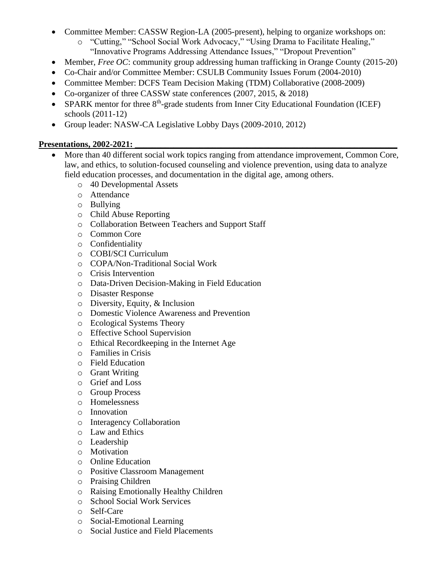- Committee Member: CASSW Region-LA (2005-present), helping to organize workshops on:
	- o "Cutting," "School Social Work Advocacy," "Using Drama to Facilitate Healing," "Innovative Programs Addressing Attendance Issues," "Dropout Prevention"
- Member, *Free OC*: community group addressing human trafficking in Orange County (2015-20)
- Co-Chair and/or Committee Member: CSULB Community Issues Forum (2004-2010)
- Committee Member: DCFS Team Decision Making (TDM) Collaborative (2008-2009)
- Co-organizer of three CASSW state conferences (2007, 2015, & 2018)
- SPARK mentor for three 8<sup>th</sup>-grade students from Inner City Educational Foundation (ICEF) schools (2011-12)
- Group leader: NASW-CA Legislative Lobby Days (2009-2010, 2012)

# **Presentations, 2002-2021:**

- More than 40 different social work topics ranging from attendance improvement, Common Core, law, and ethics, to solution-focused counseling and violence prevention, using data to analyze field education processes, and documentation in the digital age, among others.
	- o 40 Developmental Assets
	- o Attendance
	- o Bullying
	- o Child Abuse Reporting
	- o Collaboration Between Teachers and Support Staff
	- o Common Core
	- o Confidentiality
	- o COBI/SCI Curriculum
	- o COPA/Non-Traditional Social Work
	- o Crisis Intervention
	- o Data-Driven Decision-Making in Field Education
	- o Disaster Response
	- o Diversity, Equity, & Inclusion
	- o Domestic Violence Awareness and Prevention
	- o Ecological Systems Theory
	- o Effective School Supervision
	- o Ethical Recordkeeping in the Internet Age
	- o Families in Crisis
	- o Field Education
	- o Grant Writing
	- o Grief and Loss
	- o Group Process
	- o Homelessness
	- o Innovation
	- o Interagency Collaboration
	- o Law and Ethics
	- o Leadership
	- o Motivation
	- o Online Education
	- o Positive Classroom Management
	- o Praising Children
	- o Raising Emotionally Healthy Children
	- o School Social Work Services
	- o Self-Care
	- o Social-Emotional Learning
	- o Social Justice and Field Placements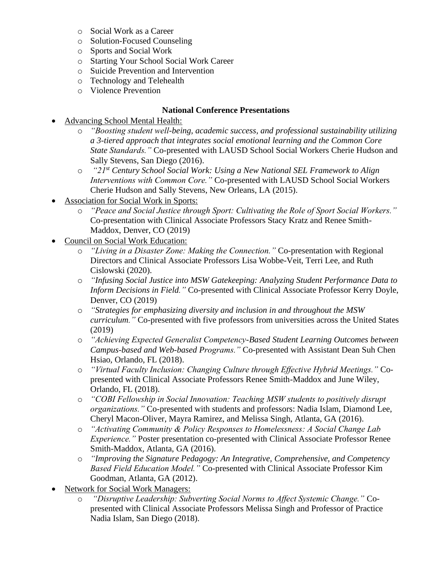- o Social Work as a Career
- o Solution-Focused Counseling
- o Sports and Social Work
- o Starting Your School Social Work Career
- o Suicide Prevention and Intervention
- o Technology and Telehealth
- o Violence Prevention

### **National Conference Presentations**

- Advancing School Mental Health:
	- o *"Boosting student well-being, academic success, and professional sustainability utilizing a 3-tiered approach that integrates social emotional learning and the Common Core State Standards."* Co-presented with LAUSD School Social Workers Cherie Hudson and Sally Stevens, San Diego (2016).
	- o *"21st Century School Social Work: Using a New National SEL Framework to Align Interventions with Common Core."* Co-presented with LAUSD School Social Workers Cherie Hudson and Sally Stevens, New Orleans, LA (2015).
- Association for Social Work in Sports:
	- o *"Peace and Social Justice through Sport: Cultivating the Role of Sport Social Workers."* Co-presentation with Clinical Associate Professors Stacy Kratz and Renee Smith-Maddox, Denver, CO (2019)
- Council on Social Work Education:
	- o *"Living in a Disaster Zone: Making the Connection."* Co-presentation with Regional Directors and Clinical Associate Professors Lisa Wobbe-Veit, Terri Lee, and Ruth Cislowski (2020).
	- o *"Infusing Social Justice into MSW Gatekeeping: Analyzing Student Performance Data to Inform Decisions in Field."* Co-presented with Clinical Associate Professor Kerry Doyle, Denver, CO (2019)
	- o *"Strategies for emphasizing diversity and inclusion in and throughout the MSW curriculum."* Co-presented with five professors from universities across the United States (2019)
	- o *"Achieving Expected Generalist Competency-Based Student Learning Outcomes between Campus-based and Web-based Programs."* Co-presented with Assistant Dean Suh Chen Hsiao, Orlando, FL (2018).
	- o *"Virtual Faculty Inclusion: Changing Culture through Effective Hybrid Meetings."* Copresented with Clinical Associate Professors Renee Smith-Maddox and June Wiley, Orlando, FL (2018).
	- o *"COBI Fellowship in Social Innovation: Teaching MSW students to positively disrupt organizations."* Co-presented with students and professors: Nadia Islam, Diamond Lee, Cheryl Macon-Oliver, Mayra Ramirez, and Melissa Singh, Atlanta, GA (2016).
	- o *"Activating Community & Policy Responses to Homelessness: A Social Change Lab Experience."* Poster presentation co-presented with Clinical Associate Professor Renee Smith-Maddox, Atlanta, GA (2016).
	- o *"Improving the Signature Pedagogy: An Integrative, Comprehensive, and Competency Based Field Education Model."* Co-presented with Clinical Associate Professor Kim Goodman, Atlanta, GA (2012).
- Network for Social Work Managers:
	- o *"Disruptive Leadership: Subverting Social Norms to Affect Systemic Change."* Copresented with Clinical Associate Professors Melissa Singh and Professor of Practice Nadia Islam, San Diego (2018).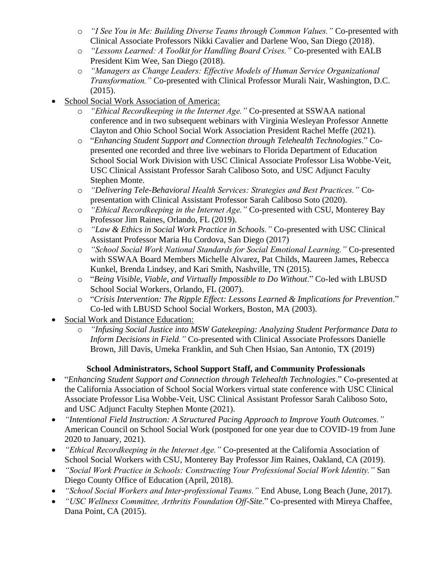- o *"I See You in Me: Building Diverse Teams through Common Values."* Co-presented with Clinical Associate Professors Nikki Cavalier and Darlene Woo, San Diego (2018).
- o *"Lessons Learned: A Toolkit for Handling Board Crises."* Co-presented with EALB President Kim Wee, San Diego (2018).
- o *"Managers as Change Leaders: Effective Models of Human Service Organizational Transformation."* Co-presented with Clinical Professor Murali Nair, Washington, D.C. (2015).
- School Social Work Association of America:
	- o *"Ethical Recordkeeping in the Internet Age."* Co-presented at SSWAA national conference and in two subsequent webinars with Virginia Wesleyan Professor Annette Clayton and Ohio School Social Work Association President Rachel Meffe (2021).
	- o "*Enhancing Student Support and Connection through Telehealth Technologies*." Copresented one recorded and three live webinars to Florida Department of Education School Social Work Division with USC Clinical Associate Professor Lisa Wobbe-Veit, USC Clinical Assistant Professor Sarah Caliboso Soto, and USC Adjunct Faculty Stephen Monte.
	- o *"Delivering Tele-Behavioral Health Services: Strategies and Best Practices."* Copresentation with Clinical Assistant Professor Sarah Caliboso Soto (2020).
	- o *"Ethical Recordkeeping in the Internet Age."* Co-presented with CSU, Monterey Bay Professor Jim Raines, Orlando, FL (2019).
	- o *"Law & Ethics in Social Work Practice in Schools."* Co-presented with USC Clinical Assistant Professor Maria Hu Cordova, San Diego (2017)
	- o *"School Social Work National Standards for Social Emotional Learning."* Co-presented with SSWAA Board Members Michelle Alvarez, Pat Childs, Maureen James, Rebecca Kunkel, Brenda Lindsey, and Kari Smith, Nashville, TN (2015).
	- o "*Being Visible, Viable, and Virtually Impossible to Do Without*." Co-led with LBUSD School Social Workers, Orlando, FL (2007).
	- o "*Crisis Intervention: The Ripple Effect: Lessons Learned & Implications for Prevention*." Co-led with LBUSD School Social Workers, Boston, MA (2003).
- Social Work and Distance Education:
	- o *"Infusing Social Justice into MSW Gatekeeping: Analyzing Student Performance Data to Inform Decisions in Field."* Co-presented with Clinical Associate Professors Danielle Brown, Jill Davis, Umeka Franklin, and Suh Chen Hsiao, San Antonio, TX (2019)

# **School Administrators, School Support Staff, and Community Professionals**

- "*Enhancing Student Support and Connection through Telehealth Technologies*." Co-presented at the California Association of School Social Workers virtual state conference with USC Clinical Associate Professor Lisa Wobbe-Veit, USC Clinical Assistant Professor Sarah Caliboso Soto, and USC Adjunct Faculty Stephen Monte (2021).
- *"Intentional Field Instruction: A Structured Pacing Approach to Improve Youth Outcomes."* American Council on School Social Work (postponed for one year due to COVID-19 from June 2020 to January, 2021).
- *"Ethical Recordkeeping in the Internet Age."* Co-presented at the California Association of School Social Workers with CSU, Monterey Bay Professor Jim Raines, Oakland, CA (2019).
- *"Social Work Practice in Schools: Constructing Your Professional Social Work Identity."* San Diego County Office of Education (April, 2018).
- *"School Social Workers and Inter-professional Teams."* End Abuse, Long Beach (June, 2017).
- *"USC Wellness Committee, Arthritis Foundation Off-Site*." Co-presented with Mireya Chaffee, Dana Point, CA (2015).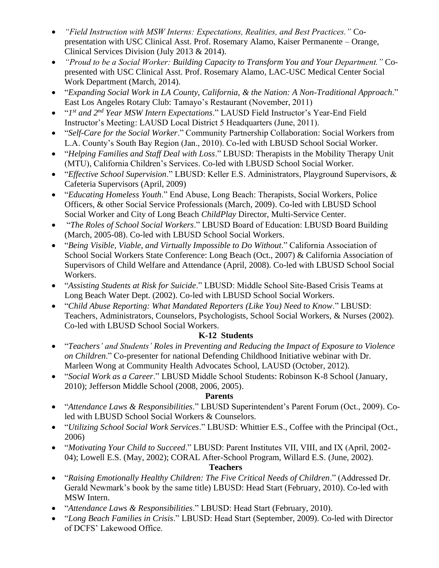- *"Field Instruction with MSW Interns: Expectations, Realities, and Best Practices."* Copresentation with USC Clinical Asst. Prof. Rosemary Alamo, Kaiser Permanente – Orange, Clinical Services Division (July 2013 & 2014).
- *"Proud to be a Social Worker: Building Capacity to Transform You and Your Department."* Copresented with USC Clinical Asst. Prof. Rosemary Alamo, LAC-USC Medical Center Social Work Department (March, 2014).
- "*Expanding Social Work in LA County, California, & the Nation: A Non-Traditional Approach*." East Los Angeles Rotary Club: Tamayo's Restaurant (November, 2011)
- "*1 st and 2nd Year MSW Intern Expectations*." LAUSD Field Instructor's Year-End Field Instructor's Meeting: LAUSD Local District 5 Headquarters (June, 2011).
- "*Self-Care for the Social Worker*." Community Partnership Collaboration: Social Workers from L.A. County's South Bay Region (Jan., 2010). Co-led with LBUSD School Social Worker.
- "*Helping Families and Staff Deal with Loss*." LBUSD: Therapists in the Mobility Therapy Unit (MTU), California Children's Services. Co-led with LBUSD School Social Worker.
- "*Effective School Supervision*." LBUSD: Keller E.S. Administrators, Playground Supervisors, & Cafeteria Supervisors (April, 2009)
- "*Educating Homeless Youth*." End Abuse, Long Beach: Therapists, Social Workers, Police Officers, & other Social Service Professionals (March, 2009). Co-led with LBUSD School Social Worker and City of Long Beach *ChildPlay* Director, Multi-Service Center.
- "*The Roles of School Social Workers*." LBUSD Board of Education: LBUSD Board Building (March, 2005-08). Co-led with LBUSD School Social Workers.
- "*Being Visible, Viable, and Virtually Impossible to Do Without*." California Association of School Social Workers State Conference: Long Beach (Oct., 2007) & California Association of Supervisors of Child Welfare and Attendance (April, 2008). Co-led with LBUSD School Social Workers.
- "*Assisting Students at Risk for Suicide*." LBUSD: Middle School Site-Based Crisis Teams at Long Beach Water Dept. (2002). Co-led with LBUSD School Social Workers.
- "*Child Abuse Reporting: What Mandated Reporters (Like You) Need to Know*." LBUSD: Teachers, Administrators, Counselors, Psychologists, School Social Workers, & Nurses (2002). Co-led with LBUSD School Social Workers.

# **K-12 Students**

- "*Teachers' and Students' Roles in Preventing and Reducing the Impact of Exposure to Violence on Children*." Co-presenter for national Defending Childhood Initiative webinar with Dr. Marleen Wong at Community Health Advocates School, LAUSD (October, 2012).
- "*Social Work as a Career*." LBUSD Middle School Students: Robinson K-8 School (January, 2010); Jefferson Middle School (2008, 2006, 2005).

# **Parents**

- "*Attendance Laws & Responsibilities*." LBUSD Superintendent's Parent Forum (Oct., 2009). Coled with LBUSD School Social Workers & Counselors.
- "*Utilizing School Social Work Services*." LBUSD: Whittier E.S., Coffee with the Principal (Oct., 2006)
- "*Motivating Your Child to Succeed*." LBUSD: Parent Institutes VII, VIII, and IX (April, 2002- 04); Lowell E.S. (May, 2002); CORAL After-School Program, Willard E.S. (June, 2002).

# **Teachers**

- "*Raising Emotionally Healthy Children: The Five Critical Needs of Children*." (Addressed Dr. Gerald Newmark's book by the same title) LBUSD: Head Start (February, 2010). Co-led with MSW Intern.
- "*Attendance Laws & Responsibilities*." LBUSD: Head Start (February, 2010).
- "*Long Beach Families in Crisis*." LBUSD: Head Start (September, 2009). Co-led with Director of DCFS' Lakewood Office.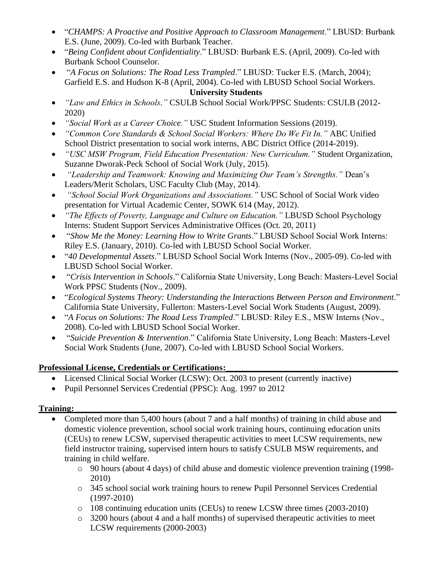- "*CHAMPS: A Proactive and Positive Approach to Classroom Management*." LBUSD: Burbank E.S. (June, 2009). Co-led with Burbank Teacher.
- "*Being Confident about Confidentiality*." LBUSD: Burbank E.S. (April, 2009). Co-led with Burbank School Counselor.
- "*A Focus on Solutions: The Road Less Trampled*." LBUSD: Tucker E.S. (March, 2004); Garfield E.S. and Hudson K-8 (April, 2004). Co-led with LBUSD School Social Workers.

# **University Students**

- *"Law and Ethics in Schools."* CSULB School Social Work/PPSC Students: CSULB (2012- 2020)
- *"Social Work as a Career Choice."* USC Student Information Sessions (2019).
- *"Common Core Standards & School Social Workers: Where Do We Fit In."* ABC Unified School District presentation to social work interns, ABC District Office (2014-2019).
- *"USC MSW Program, Field Education Presentation: New Curriculum."* Student Organization, Suzanne Dworak-Peck School of Social Work (July, 2015).
- *"Leadership and Teamwork: Knowing and Maximizing Our Team's Strengths."* Dean's Leaders/Merit Scholars, USC Faculty Club (May, 2014).
- *"School Social Work Organizations and Associations."* USC School of Social Work video presentation for Virtual Academic Center, SOWK 614 (May, 2012).
- *"The Effects of Poverty, Language and Culture on Education."* LBUSD School Psychology Interns: Student Support Services Administrative Offices (Oct. 20, 2011)
- "*Show Me the Money: Learning How to Write Grants*." LBUSD School Social Work Interns: Riley E.S. (January, 2010). Co-led with LBUSD School Social Worker.
- "*40 Developmental Assets*." LBUSD School Social Work Interns (Nov., 2005-09). Co-led with LBUSD School Social Worker.
- "*Crisis Intervention in Schools*." California State University, Long Beach: Masters-Level Social Work PPSC Students (Nov., 2009).
- "*Ecological Systems Theory: Understanding the Interactions Between Person and Environment*." California State University, Fullerton: Masters-Level Social Work Students (August, 2009).
- "*A Focus on Solutions: The Road Less Trampled*." LBUSD: Riley E.S., MSW Interns (Nov., 2008). Co-led with LBUSD School Social Worker.
- "*Suicide Prevention & Intervention*." California State University, Long Beach: Masters-Level Social Work Students (June, 2007). Co-led with LBUSD School Social Workers.

# Professional License, Credentials or Certifications:

- Licensed Clinical Social Worker (LCSW): Oct. 2003 to present (currently inactive)
- Pupil Personnel Services Credential (PPSC): Aug. 1997 to 2012

# **Training:\_\_\_\_\_\_\_\_\_\_\_\_\_\_\_\_\_\_\_\_\_\_\_\_\_\_\_\_\_\_\_\_\_\_\_\_\_\_\_\_\_\_\_\_\_\_\_\_\_\_\_\_\_\_\_\_\_\_\_\_\_\_\_\_\_\_\_\_\_\_\_\_\_\_\_**

- Completed more than 5,400 hours (about 7 and a half months) of training in child abuse and domestic violence prevention, school social work training hours, continuing education units (CEUs) to renew LCSW, supervised therapeutic activities to meet LCSW requirements, new field instructor training, supervised intern hours to satisfy CSULB MSW requirements, and training in child welfare.
	- o 90 hours (about 4 days) of child abuse and domestic violence prevention training (1998- 2010)
	- o 345 school social work training hours to renew Pupil Personnel Services Credential (1997-2010)
	- o 108 continuing education units (CEUs) to renew LCSW three times (2003-2010)
	- $\circ$  3200 hours (about 4 and a half months) of supervised therapeutic activities to meet LCSW requirements (2000-2003)